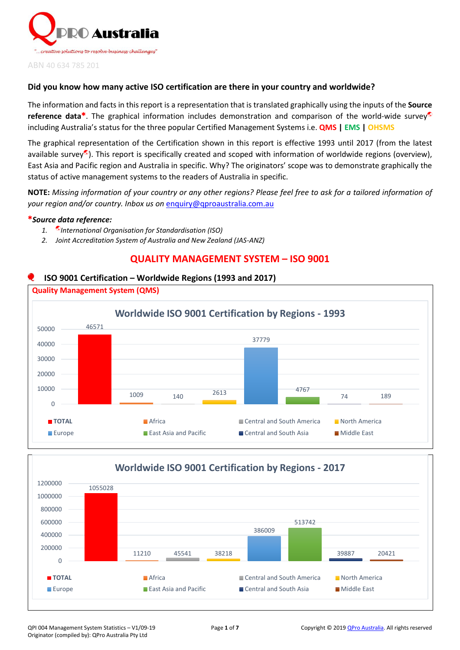

#### **Did you know how many active ISO certification are there in your country and worldwide?**

The information and facts in this report is a representation that is translated graphically using the inputs of the **Source reference data<sup>\*</sup>.** The graphical information includes demonstration and comparison of the world-wide survey<sup>®</sup> including Australia's status for the three popular Certified Management Systems i.e. **QMS | EMS | OHSMS**

The graphical representation of the Certification shown in this report is effective 1993 until 2017 (from the latest available survey<sup>®</sup>). This report is specifically created and scoped with information of worldwide regions (overview), East Asia and Pacific region and Australia in specific. Why? The originators' scope was to demonstrate graphically the status of active management systems to the readers of Australia in specific.

**NOTE:** *Missing information of your country or any other regions? Please feel free to ask for a tailored information of your region and/or country. Inbox us on* [enquiry@qproaustralia.com.au](mailto:enquiry@qproaustralia.com.au)

#### *Source data reference:*

- *1. International Organisation for Standardisation (ISO)*
- *2. Joint Accreditation System of Australia and New Zealand (JAS-ANZ)*

## **QUALITY MANAGEMENT SYSTEM – ISO 9001**

### **ISO 9001 Certification – Worldwide Regions (1993 and 2017)**



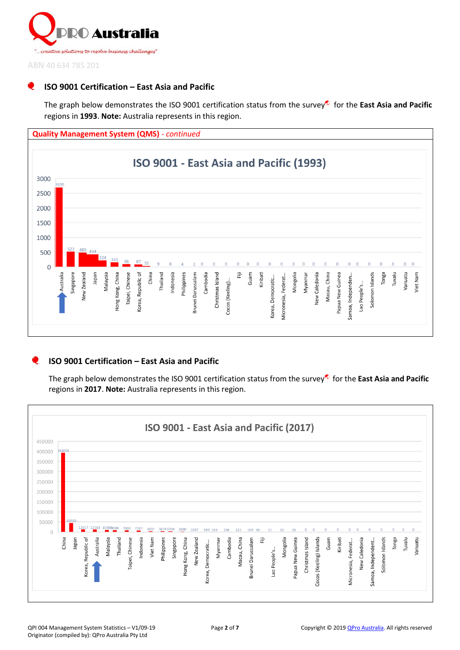

# **ISO 9001 Certification – East Asia and Pacific**

The graph below demonstrates the ISO 9001 certification status from the survey for the **East Asia and Pacific** regions in **1993**. **Note:** Australia represents in this region.



### **ISO 9001 Certification – East Asia and Pacific**

The graph below demonstrates the ISO 9001 certification status from the survey for the **East Asia and Pacific** regions in **2017**. **Note:** Australia represents in this region.

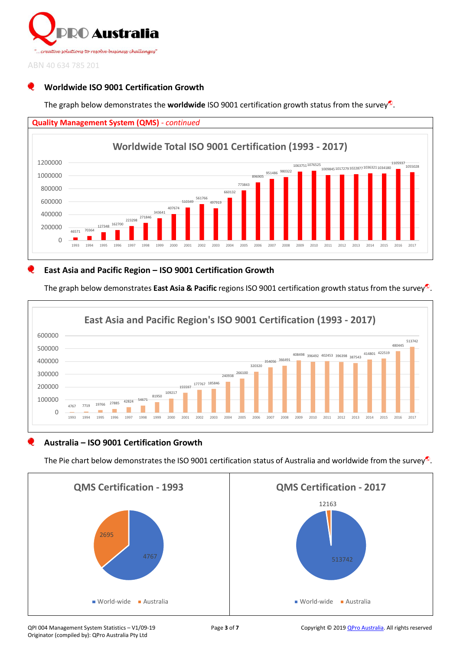

# **Worldwide ISO 9001 Certification Growth**

The graph below demonstrates the **worldwide** ISO 9001 certification growth status from the survey<sup>®</sup>.



## **East Asia and Pacific Region – ISO 9001 Certification Growth**

The graph below demonstrates **East Asia & Pacific** regions ISO 9001 certification growth status from the survey<sup>®</sup>.



### **Australia – ISO 9001 Certification Growth**

The Pie chart below demonstrates the ISO 9001 certification status of Australia and worldwide from the survey.



Originator (compiled by): QPro Australia Pty Ltd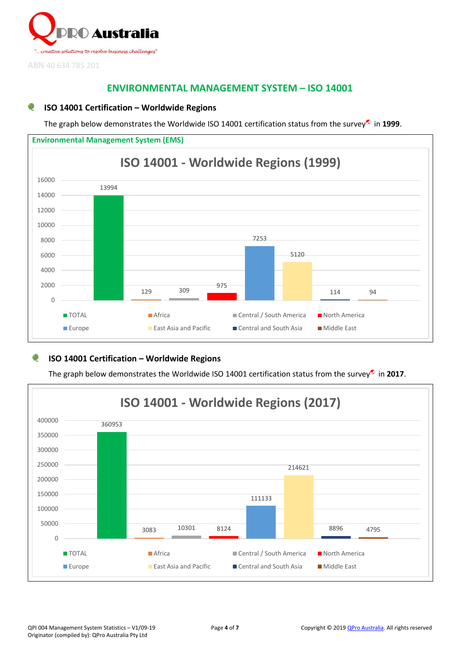

# **ENVIRONMENTAL MANAGEMENT SYSTEM – ISO 14001**

### **ISO 14001 Certification – Worldwide Regions**

The graph below demonstrates the Worldwide ISO 14001 certification status from the survey<sup>®</sup> in 1999.



# **ISO 14001 Certification – Worldwide Regions**

The graph below demonstrates the Worldwide ISO 14001 certification status from the survey<sup>®</sup> in 2017.

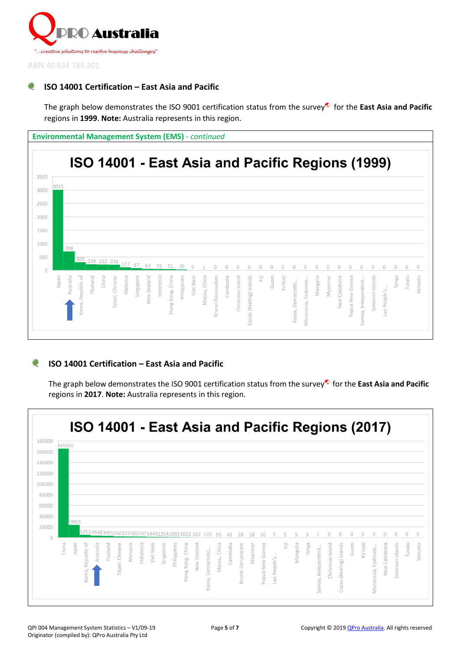

# **ISO 14001 Certification – East Asia and Pacific**

The graph below demonstrates the ISO 9001 certification status from the survey for the **East Asia and Pacific** regions in **1999**. **Note:** Australia represents in this region.

**Environmental Management System (EMS)** *- continued*



#### **ISO 14001 Certification – East Asia and Pacific** O

The graph below demonstrates the ISO 9001 certification status from the survey for the **East Asia and Pacific** regions in **2017**. **Note:** Australia represents in this region.

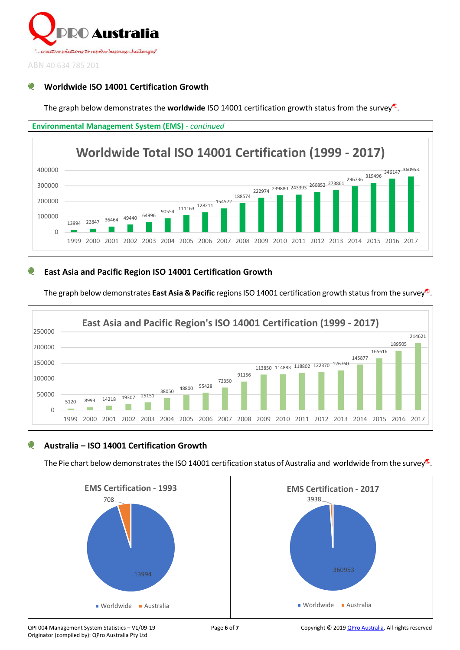

# **Worldwide ISO 14001 Certification Growth**

The graph below demonstrates the **worldwide** ISO 14001 certification growth status from the survey<sup>®</sup>.



# **East Asia and Pacific Region ISO 14001 Certification Growth**

The graph below demonstrates **East Asia & Pacific** regions ISO 14001 certification growth status from the survey<sup>®</sup>.



# **Australia – ISO 14001 Certification Growth**

The Pie chart below demonstrates the ISO 14001 certification status of Australia and worldwide from the survey.



Originator (compiled by): QPro Australia Pty Ltd

QPI 004 Management System Statistics – V1/09-19 **Page 6** of **7** Copyright © 201[9 QPro Australia.](http://www.qproaustralia.com.au/) All rights reserved